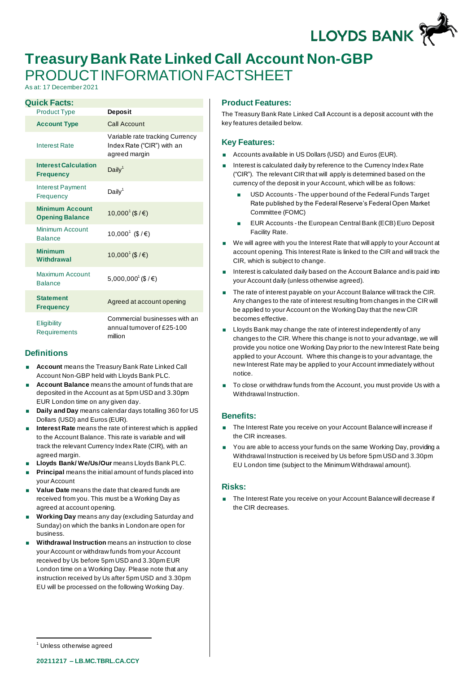LLOYDS BANK

# **Treasury Bank Rate Linked Call Account Non-GBP** PRODUCT INFORMATION FACTSHEET

As at: 17 December 2021

| <b>Quick Facts:</b>                              |                                                                                |
|--------------------------------------------------|--------------------------------------------------------------------------------|
| <b>Product Type</b>                              | <b>Deposit</b>                                                                 |
| <b>Account Type</b>                              | Call Account                                                                   |
| <b>Interest Rate</b>                             | Variable rate tracking Currency<br>Index Rate ("CIR") with an<br>agreed margin |
| <b>Interest Calculation</b><br><b>Frequency</b>  | Daily $1$                                                                      |
| <b>Interest Payment</b><br>Frequency             | Daily <sup>1</sup>                                                             |
| <b>Minimum Account</b><br><b>Opening Balance</b> | $10,000$ <sup>1</sup> (\$ / €)                                                 |
| Minimum Account<br><b>Balance</b>                | 10,000 <sup>1</sup> (\$/€)                                                     |
| <b>Minimum</b><br>Withdrawal                     | 10,000 <sup>1</sup> (\$ / €)                                                   |
| Maximum Account<br><b>Balance</b>                | 5,000,000 <sup>1</sup> (\$ / €)                                                |
| <b>Statement</b><br><b>Frequency</b>             | Agreed at account opening                                                      |
| Eligibility<br>Requirements                      | Commercial businesses with an<br>annual turnover of £25-100<br>million         |

## **Definitions**

- **Account** means the Treasury Bank Rate Linked Call Account Non-GBP held with Lloyds Bank PLC.
- **Account Balance** means the amount of funds that are deposited in the Account as at 5pm USD and 3.30pm EUR London time on any given day.
- **Daily and Day** means calendar days totalling 360 for US Dollars (USD) and Euros (EUR).
- **Interest Rate** means the rate of interest which is applied to the Account Balance. This rate is variable and will track the relevant Currency Index Rate (CIR), with an agreed margin.
- **Lloyds Bank/ We/Us/Our** means Lloyds Bank PLC.
- **Principal** means the initial amount of funds placed into your Account
- **Value Date** means the date that cleared funds are received from you. This must be a Working Day as agreed at account opening.
- **Working Day** means any day (excluding Saturday and Sunday) on which the banks in London are open for business.
- **Withdrawal Instruction** means an instruction to close your Account or withdraw funds from your Account received by Us before 5pm USD and 3.30pm EUR London time on a Working Day. Please note that any instruction received by Us after 5pm USD and 3.30pm EU will be processed on the following Working Day.

## **Product Features:**

The Treasury Bank Rate Linked Call Account is a deposit account with the key features detailed below.

### **Key Features:**

- Accounts available in US Dollars (USD) and Euros (EUR).
- Interest is calculated daily by reference to the Currency Index Rate ("CIR"). The relevant CIR that will apply is determined based on the currency of the deposit in your Account, which will be as follows:
	- USD Accounts The upper bound of the Federal Funds Target Rate published by the Federal Reserve's Federal Open Market Committee (FOMC)
	- EUR Accounts the European Central Bank (ECB) Euro Deposit Facility Rate.
- We will agree with you the Interest Rate that will apply to your Account at account opening. This Interest Rate is linked to the CIR and will track the CIR, which is subject to change.
- Interest is calculated daily based on the Account Balance and is paid into your Account daily (unless otherwise agreed).
- The rate of interest payable on your Account Balance will track the CIR. Any changes to the rate of interest resulting from changes in the CIR will be applied to your Account on the Working Day that the new CIR becomes effective.
- Lloyds Bank may change the rate of interest independently of any changes to the CIR. Where this change is not to your advantage, we will provide you notice one Working Day prior to the new Interest Rate being applied to your Account. Where this change is to your advantage, the new Interest Rate may be applied to your Account immediately without notice.
- To close or withdraw funds from the Account, you must provide Us with a Withdrawal Instruction.

## **Benefits:**

- **The Interest Rate you receive on your Account Balance will increase if** the CIR increases.
- You are able to access your funds on the same Working Day, providing a Withdrawal Instruction is received by Us before 5pm USD and 3.30pm EU London time (subject to the Minimum Withdrawal amount).

### **Risks:**

■ The Interest Rate you receive on your Account Balance will decrease if the CIR decreases.

Unless otherwise agreed